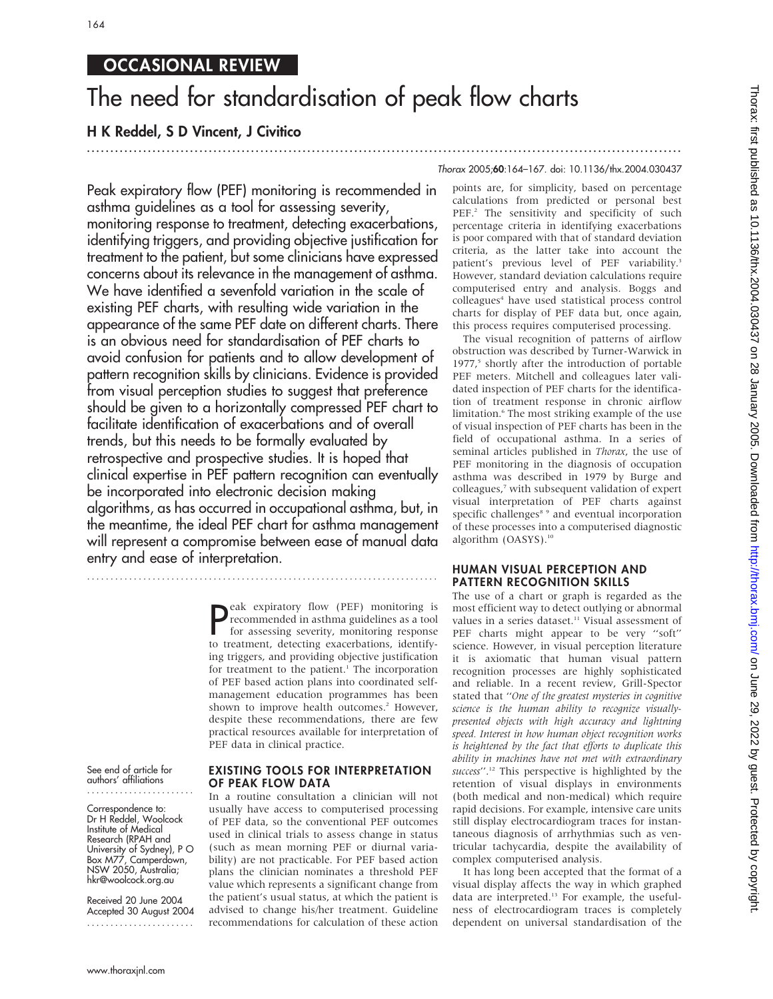## OCCASIONAL REVIEW

# The need for standardisation of peak flow charts

### H K Reddel, S D Vincent, J Civitico ...............................................................................................................................

Thorax 2005;60:164–167. doi: 10.1136/thx.2004.030437

Peak expiratory flow (PEF) monitoring is recommended in asthma guidelines as a tool for assessing severity, monitoring response to treatment, detecting exacerbations, identifying triggers, and providing objective justification for treatment to the patient, but some clinicians have expressed concerns about its relevance in the management of asthma. We have identified a sevenfold variation in the scale of existing PEF charts, with resulting wide variation in the appearance of the same PEF date on different charts. There is an obvious need for standardisation of PEF charts to avoid confusion for patients and to allow development of pattern recognition skills by clinicians. Evidence is provided from visual perception studies to suggest that preference should be given to a horizontally compressed PEF chart to facilitate identification of exacerbations and of overall trends, but this needs to be formally evaluated by retrospective and prospective studies. It is hoped that clinical expertise in PEF pattern recognition can eventually be incorporated into electronic decision making algorithms, as has occurred in occupational asthma, but, in the meantime, the ideal PEF chart for asthma management will represent a compromise between ease of manual data entry and ease of interpretation.

**P**eak expiratory flow (PEF) monitoring is<br>recommended in asthma guidelines as a tool<br>for assessing severity, monitoring response<br>to treatment detecting expectations identify recommended in asthma guidelines as a tool for assessing severity, monitoring response to treatment, detecting exacerbations, identifying triggers, and providing objective justification for treatment to the patient.<sup>1</sup> The incorporation of PEF based action plans into coordinated selfmanagement education programmes has been shown to improve health outcomes.<sup>2</sup> However, despite these recommendations, there are few practical resources available for interpretation of PEF data in clinical practice.

See end of article for authors' affiliations .......................

Correspondence to: Dr H Reddel, Woolcock Institute of Medical Research (RPAH and University of Sydney), P O Box M77, Camperdown, NSW 2050, Australia; hkr@woolcock.org.au

Received 20 June 2004 Accepted 30 August 2004 .......................

#### EXISTING TOOLS FOR INTERPRETATION OF PEAK FLOW DATA

In a routine consultation a clinician will not usually have access to computerised processing of PEF data, so the conventional PEF outcomes used in clinical trials to assess change in status (such as mean morning PEF or diurnal variability) are not practicable. For PEF based action plans the clinician nominates a threshold PEF value which represents a significant change from the patient's usual status, at which the patient is advised to change his/her treatment. Guideline recommendations for calculation of these action

points are, for simplicity, based on percentage calculations from predicted or personal best PEF.<sup>2</sup> The sensitivity and specificity of such percentage criteria in identifying exacerbations is poor compared with that of standard deviation criteria, as the latter take into account the patient's previous level of PEF variability.<sup>3</sup> However, standard deviation calculations require computerised entry and analysis. Boggs and colleagues<sup>4</sup> have used statistical process control charts for display of PEF data but, once again, this process requires computerised processing.

The visual recognition of patterns of airflow obstruction was described by Turner-Warwick in 1977,<sup>5</sup> shortly after the introduction of portable PEF meters. Mitchell and colleagues later validated inspection of PEF charts for the identification of treatment response in chronic airflow limitation.<sup>6</sup> The most striking example of the use of visual inspection of PEF charts has been in the field of occupational asthma. In a series of seminal articles published in Thorax, the use of PEF monitoring in the diagnosis of occupation asthma was described in 1979 by Burge and colleagues,<sup>7</sup> with subsequent validation of expert visual interpretation of PEF charts against specific challenges<sup>8</sup> 9 and eventual incorporation of these processes into a computerised diagnostic algorithm (OASYS).<sup>10</sup>

#### HUMAN VISUAL PERCEPTION AND PATTERN RECOGNITION SKILLS

The use of a chart or graph is regarded as the most efficient way to detect outlying or abnormal values in a series dataset.<sup>11</sup> Visual assessment of PEF charts might appear to be very "soft" science. However, in visual perception literature it is axiomatic that human visual pattern recognition processes are highly sophisticated and reliable. In a recent review, Grill-Spector stated that ''One of the greatest mysteries in cognitive science is the human ability to recognize visuallypresented objects with high accuracy and lightning speed. Interest in how human object recognition works is heightened by the fact that efforts to duplicate this ability in machines have not met with extraordinary success".<sup>12</sup> This perspective is highlighted by the retention of visual displays in environments (both medical and non-medical) which require rapid decisions. For example, intensive care units still display electrocardiogram traces for instantaneous diagnosis of arrhythmias such as ventricular tachycardia, despite the availability of complex computerised analysis.

It has long been accepted that the format of a visual display affects the way in which graphed data are interpreted.<sup>13</sup> For example, the usefulness of electrocardiogram traces is completely dependent on universal standardisation of the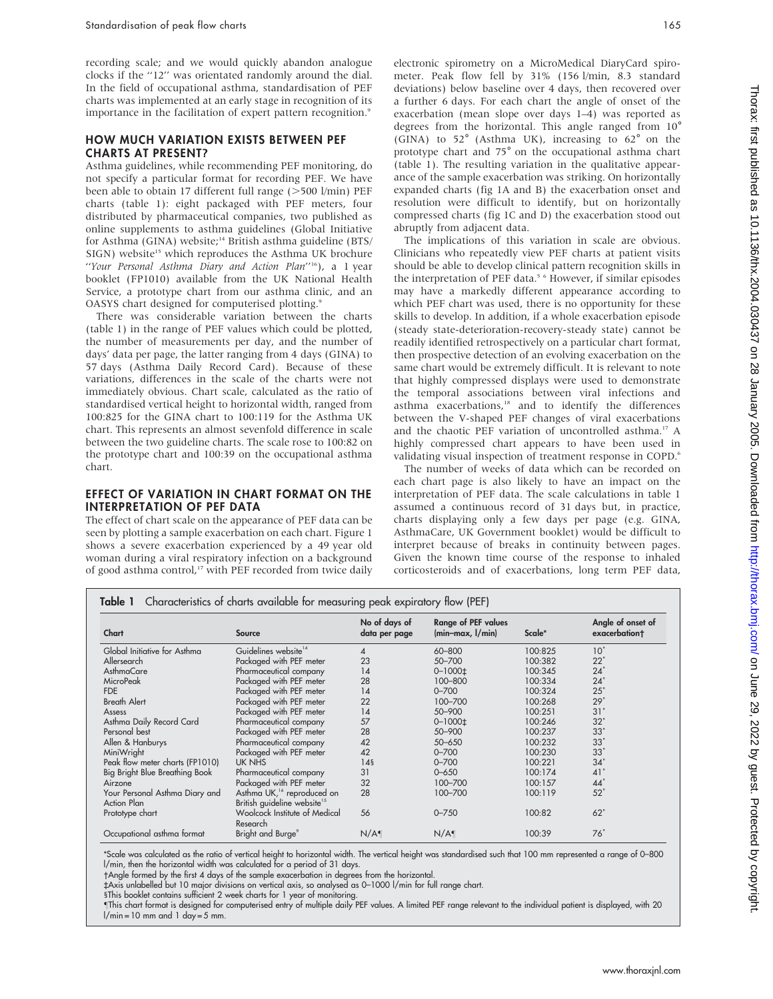recording scale; and we would quickly abandon analogue clocks if the ''12'' was orientated randomly around the dial. In the field of occupational asthma, standardisation of PEF charts was implemented at an early stage in recognition of its importance in the facilitation of expert pattern recognition.<sup>9</sup>

#### HOW MUCH VARIATION EXISTS BETWEEN PEF CHARTS AT PRESENT?

Asthma guidelines, while recommending PEF monitoring, do not specify a particular format for recording PEF. We have been able to obtain 17 different full range  $($ >500 l/min) PEF charts (table 1): eight packaged with PEF meters, four distributed by pharmaceutical companies, two published as online supplements to asthma guidelines (Global Initiative for Asthma (GINA) website;<sup>14</sup> British asthma guideline (BTS/ SIGN) website<sup>15</sup> which reproduces the Asthma UK brochure ''Your Personal Asthma Diary and Action Plan''16), a 1 year booklet (FP1010) available from the UK National Health Service, a prototype chart from our asthma clinic, and an OASYS chart designed for computerised plotting.9

There was considerable variation between the charts (table 1) in the range of PEF values which could be plotted, the number of measurements per day, and the number of days' data per page, the latter ranging from 4 days (GINA) to 57 days (Asthma Daily Record Card). Because of these variations, differences in the scale of the charts were not immediately obvious. Chart scale, calculated as the ratio of standardised vertical height to horizontal width, ranged from 100:825 for the GINA chart to 100:119 for the Asthma UK chart. This represents an almost sevenfold difference in scale between the two guideline charts. The scale rose to 100:82 on the prototype chart and 100:39 on the occupational asthma chart.

### EFFECT OF VARIATION IN CHART FORMAT ON THE INTERPRETATION OF PEF DATA

The effect of chart scale on the appearance of PEF data can be seen by plotting a sample exacerbation on each chart. Figure 1 shows a severe exacerbation experienced by a 49 year old woman during a viral respiratory infection on a background of good asthma control,<sup>17</sup> with PEF recorded from twice daily electronic spirometry on a MicroMedical DiaryCard spirometer. Peak flow fell by 31% (156 l/min, 8.3 standard deviations) below baseline over 4 days, then recovered over a further 6 days. For each chart the angle of onset of the exacerbation (mean slope over days 1–4) was reported as degrees from the horizontal. This angle ranged from  $10^{\circ}$  (GINA) to 52 $^{\circ}$  (Asthma UK), increasing to 62 $^{\circ}$  on the prototype chart and 75˚ on the occupational asthma chart (table 1). The resulting variation in the qualitative appearance of the sample exacerbation was striking. On horizontally expanded charts (fig 1A and B) the exacerbation onset and resolution were difficult to identify, but on horizontally compressed charts (fig 1C and D) the exacerbation stood out abruptly from adjacent data.

The implications of this variation in scale are obvious. Clinicians who repeatedly view PEF charts at patient visits should be able to develop clinical pattern recognition skills in the interpretation of PEF data.<sup>5 6</sup> However, if similar episodes may have a markedly different appearance according to which PEF chart was used, there is no opportunity for these skills to develop. In addition, if a whole exacerbation episode (steady state-deterioration-recovery-steady state) cannot be readily identified retrospectively on a particular chart format, then prospective detection of an evolving exacerbation on the same chart would be extremely difficult. It is relevant to note that highly compressed displays were used to demonstrate the temporal associations between viral infections and asthma exacerbations,<sup>18</sup> and to identify the differences between the V-shaped PEF changes of viral exacerbations and the chaotic PEF variation of uncontrolled asthma.17 A highly compressed chart appears to have been used in validating visual inspection of treatment response in COPD.<sup>6</sup>

The number of weeks of data which can be recorded on each chart page is also likely to have an impact on the interpretation of PEF data. The scale calculations in table 1 assumed a continuous record of 31 days but, in practice, charts displaying only a few days per page (e.g. GINA, AsthmaCare, UK Government booklet) would be difficult to interpret because of breaks in continuity between pages. Given the known time course of the response to inhaled corticosteroids and of exacerbations, long term PEF data,

| Chart                           | Source                                    | No of days of<br>data per page | <b>Range of PEF values</b><br>$(min-max, I/min)$ | Scale*  | Angle of onset of<br>exacerbation+ |
|---------------------------------|-------------------------------------------|--------------------------------|--------------------------------------------------|---------|------------------------------------|
| Global Initiative for Asthma    | Guidelines website <sup>14</sup>          | 4                              | 60-800                                           | 100:825 | 10 <sup>°</sup>                    |
| Allersearch                     | Packaged with PEF meter                   | 23                             | 50-700                                           | 100:382 | $22^\circ$                         |
| AsthmaCare                      | Pharmaceutical company                    | 14                             | $0 - 1000 \pm 1$                                 | 100:345 | $24^\circ$                         |
| <b>MicroPeak</b>                | Packaged with PEF meter                   | 28                             | 100-800                                          | 100:334 | $24^\circ$                         |
| <b>FDE</b>                      | Packaged with PEF meter                   | 14                             | $0 - 700$                                        | 100:324 | $25^\circ$                         |
| <b>Breath Alert</b>             | Packaged with PEF meter                   | 22                             | 100-700                                          | 100:268 | 29°                                |
| Assess                          | Packaged with PEF meter                   | 14                             | 50-900                                           | 100:251 | 31°                                |
| Asthma Daily Record Card        | Pharmaceutical company                    | 57                             | $0 - 1000$ <sup>±</sup>                          | 100:246 | $32^\circ$                         |
| Personal best                   | Packaged with PEF meter                   | 28                             | 50-900                                           | 100:237 | 33°                                |
| Allen & Hanburys                | Pharmaceutical company                    | 42                             | $50 - 650$                                       | 100:232 | $33^\circ$                         |
| MiniWright                      | Packaged with PEF meter                   | 42                             | $0 - 700$                                        | 100:230 | 33°                                |
| Peak flow meter charts (FP1010) | UK NHS                                    | 145                            | $0 - 700$                                        | 100:221 | 34 <sup>°</sup>                    |
| Big Bright Blue Breathing Book  | Pharmaceutical company                    | 31                             | $0 - 650$                                        | 100:174 | 41 <sup>°</sup>                    |
| Airzone                         | Packaged with PEF meter                   | 32                             | 100-700                                          | 100:157 | $44^\circ$                         |
| Your Personal Asthma Diary and  | Asthma UK, <sup>16</sup> reproduced on    | 28                             | 100-700                                          | 100:119 | $52^\circ$                         |
| Action Plan                     | British guideline website <sup>15</sup>   |                                |                                                  |         |                                    |
| Prototype chart                 | Woolcock Institute of Medical<br>Research | 56                             | $0 - 750$                                        | 100:82  | $62^\circ$                         |
| Occupational asthma format      | Bright and Burge <sup>9</sup>             | N/A                            | N/A                                              | 100:39  | $76^\circ$                         |

\*Scale was calculated as the ratio of vertical height to horizontal width. The vertical height was standardised such that 100 mm represented a range of 0–800 l/min, then the horizontal width was calculated for a period of 31 days.

-Angle formed by the first 4 days of the sample exacerbation in degrees from the horizontal.

`Axis unlabelled but 10 major divisions on vertical axis, so analysed as 0–1000 l/min for full range chart.

§This booklet contains sufficient 2 week charts for 1 year of monitoring.

This chart format is designed for computerised entry of multiple daily PEF values. A limited PEF range relevant to the individual patient is displayed, with 20  $l/min = 10$  mm and  $l day = 5$  mm.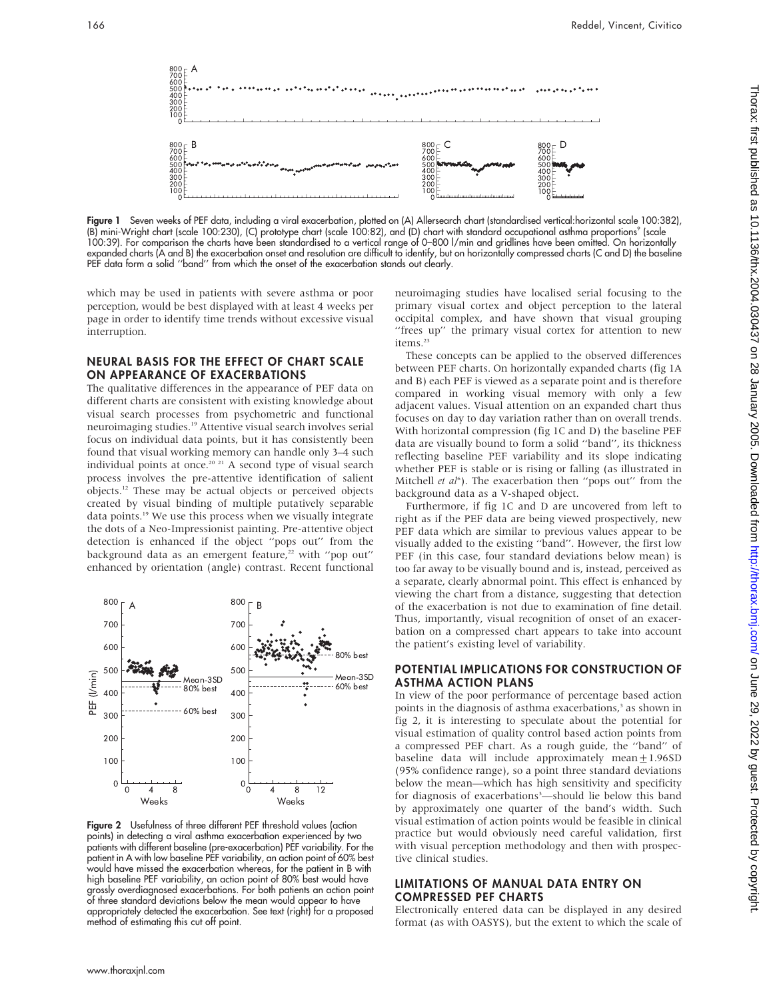

Figure 1 Seven weeks of PEF data, including a viral exacerbation, plotted on (A) Allersearch chart (standardised vertical:horizontal scale 100:382), (B) mini-Wright chart (scale 100:230), (C) prototype chart (scale 100:82), and (D) chart with standard occupational asthma proportions9 (scale 100:39). For comparison the charts have been standardised to a vertical range of 0–800 l/min and gridlines have been omitted. On horizontally expanded charts (A and B) the exacerbation onset and resolution are difficult to identify, but on horizontally compressed charts (C and D) the baseline PEF data form a solid "band" from which the onset of the exacerbation stands out clearly.

which may be used in patients with severe asthma or poor perception, would be best displayed with at least 4 weeks per page in order to identify time trends without excessive visual interruption.

#### NEURAL BASIS FOR THE EFFECT OF CHART SCALE ON APPEARANCE OF EXACERBATIONS

The qualitative differences in the appearance of PEF data on different charts are consistent with existing knowledge about visual search processes from psychometric and functional neuroimaging studies.<sup>19</sup> Attentive visual search involves serial focus on individual data points, but it has consistently been found that visual working memory can handle only 3–4 such individual points at once.<sup>20 21</sup> A second type of visual search process involves the pre-attentive identification of salient objects.12 These may be actual objects or perceived objects created by visual binding of multiple putatively separable data points.<sup>19</sup> We use this process when we visually integrate the dots of a Neo-Impressionist painting. Pre-attentive object detection is enhanced if the object ''pops out'' from the background data as an emergent feature,<sup>22</sup> with "pop out" enhanced by orientation (angle) contrast. Recent functional



Figure 2 Usefulness of three different PEF threshold values (action points) in detecting a viral asthma exacerbation experienced by two patients with different baseline (pre-exacerbation) PEF variability. For the patient in A with low baseline PEF variability, an action point of 60% best would have missed the exacerbation whereas, for the patient in B with high baseline PEF variability, an action point of 80% best would have grossly overdiagnosed exacerbations. For both patients an action point of three standard deviations below the mean would appear to have appropriately detected the exacerbation. See text (right) for a proposed method of estimating this cut off point.

neuroimaging studies have localised serial focusing to the primary visual cortex and object perception to the lateral occipital complex, and have shown that visual grouping "frees up" the primary visual cortex for attention to new items.<sup>23</sup>

These concepts can be applied to the observed differences between PEF charts. On horizontally expanded charts (fig 1A and B) each PEF is viewed as a separate point and is therefore compared in working visual memory with only a few adjacent values. Visual attention on an expanded chart thus focuses on day to day variation rather than on overall trends. With horizontal compression (fig 1C and D) the baseline PEF data are visually bound to form a solid ''band'', its thickness reflecting baseline PEF variability and its slope indicating whether PEF is stable or is rising or falling (as illustrated in Mitchell et al<sup>6</sup>). The exacerbation then "pops out" from the background data as a V-shaped object.

Furthermore, if fig 1C and D are uncovered from left to right as if the PEF data are being viewed prospectively, new PEF data which are similar to previous values appear to be visually added to the existing ''band''. However, the first low PEF (in this case, four standard deviations below mean) is too far away to be visually bound and is, instead, perceived as a separate, clearly abnormal point. This effect is enhanced by viewing the chart from a distance, suggesting that detection of the exacerbation is not due to examination of fine detail. Thus, importantly, visual recognition of onset of an exacerbation on a compressed chart appears to take into account the patient's existing level of variability.

#### POTENTIAL IMPLICATIONS FOR CONSTRUCTION OF ASTHMA ACTION PLANS

In view of the poor performance of percentage based action points in the diagnosis of asthma exacerbations,<sup>3</sup> as shown in fig 2, it is interesting to speculate about the potential for visual estimation of quality control based action points from a compressed PEF chart. As a rough guide, the ''band'' of baseline data will include approximately mean $\pm 1.96$ SD (95% confidence range), so a point three standard deviations below the mean—which has high sensitivity and specificity for diagnosis of exacerbations<sup>3</sup>—should lie below this band by approximately one quarter of the band's width. Such visual estimation of action points would be feasible in clinical practice but would obviously need careful validation, first with visual perception methodology and then with prospective clinical studies.

#### LIMITATIONS OF MANUAL DATA ENTRY ON COMPRESSED PEF CHARTS

Electronically entered data can be displayed in any desired format (as with OASYS), but the extent to which the scale of